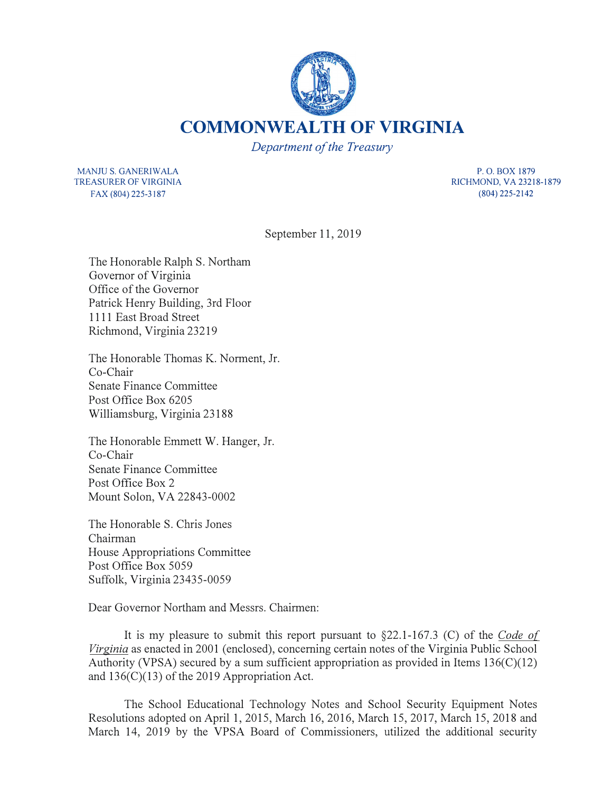

**COMMONWEALTH OF VIRGINIA** 

*Department of the Treasury* 

MANJU S. GANERIWALA TREASURER OF VIRGINIA FAX (804) 225-3187

**P. 0. BOX 1879 RICHMOND, VA 23218-1879 (804) 225-2142**

September 11, 2019

The Honorable Ralph S. Northam Governor of Virginia Office of the Governor Patrick Henry Building, 3rd Floor 1111 East Broad Street Richmond, Virginia 23219

The Honorable Thomas K. Norment, Jr. Co-Chair Senate Finance Committee Post Office Box 6205 Williamsburg, Virginia 23188

The Honorable Emmett W. Hanger, Jr. Co-Chair Senate Finance Committee Post Office Box 2 Mount Solon, VA 22843-0002

The Honorable S. Chris Jones Chairman House Appropriations Committee Post Office Box 5059 Suffolk, Virginia 23435-0059

Dear Governor Northam and Messrs. Chairmen:

It is my pleasure to submit this report pursuant to §22.1-167 .3 (C) of the *Code of Virginia* as enacted in 2001 (enclosed), concerning certain notes of the Virginia Public School Authority (VPSA) secured by a sum sufficient appropriation as provided in Items  $136(C)(12)$ and 136(C)(13) of the 2019 Appropriation Act.

The School Educational Technology Notes and School Security Equipment Notes Resolutions adopted on April 1, 2015, March 16, 2016, March 15, 2017, March 15, 2018 and March 14, 2019 by the VPSA Board of Commissioners, utilized the additional security